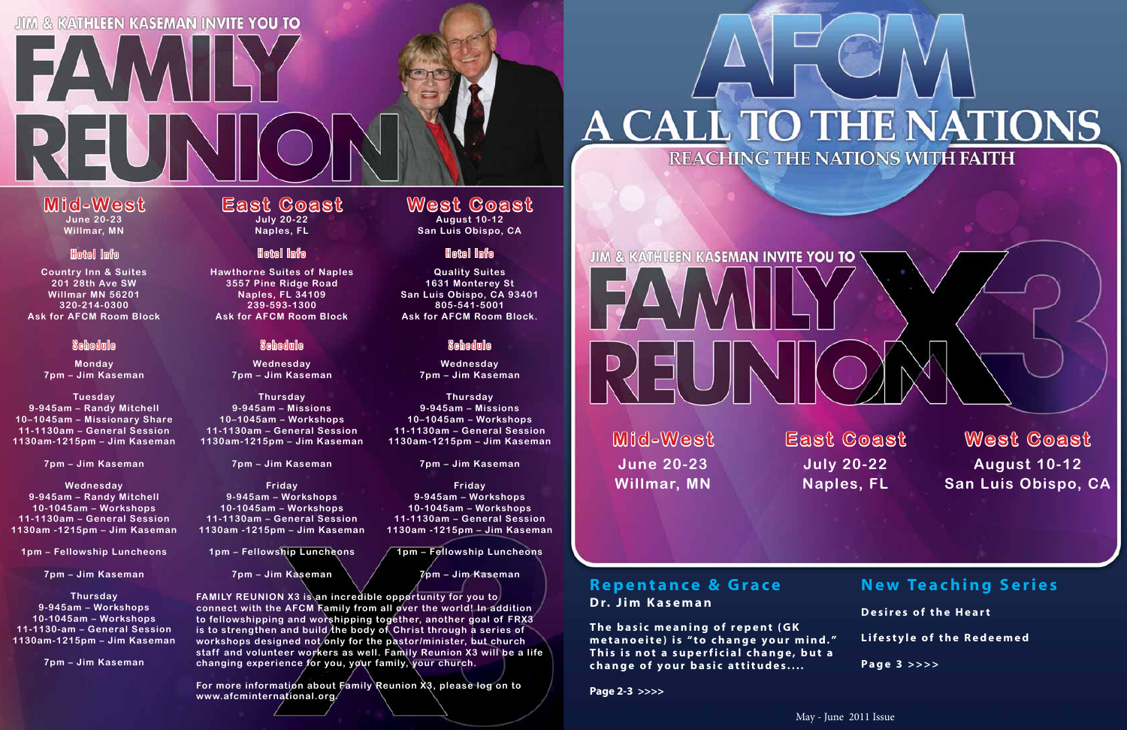# JIM & KATHLEEN KASEMAN INVITE YOU TO

**EAVAII** 

May - June 2011 Issue

# **Mid-West June 20-23**

REUN

**Willmar, MN**

#### **East Coast July 20-22 Naples, FL**

**Hawthorne Suites of Naples 3557 Pine Ridge Road Naples, FL 34109 239-593-1300Ask for AFCM Room Block**

> **Wednesday 7pm – Jim Kaseman**

**Thursday 9-945am – Missions 10–1045am – Workshops 11-1130am – General Session 1130am-1215pm – Jim Kaseman**

**7pm – Jim Kaseman**

**Friday 9-945am – Workshops 10-1045am – Workshops 11-1130am – General Session 1130am -1215pm – Jim Kaseman**

**1pm – Fellowship Luncheons**

**7pm – Jim Kaseman**

**Quality Suites 1631 Monterey St San Luis Obispo, CA 93401 805-541-5001Ask for AFCM Room Block.**

> **Wednesday 7pm – Jim Kaseman**

**Thursday 9-945am – Missions 10–1045am – Workshops 11-1130am – General Session 1130am-1215pm – Jim Kaseman**

**7pm – Jim Kaseman**

**Friday 9-945am – Workshops 10-1045am – Workshops 11-1130am – General Session 1130am -1215pm – Jim Kaseman**

**1pm – Fellowship Luncheons**

# **JIM & KATHLEEN KASEMAN INVITE YOU TO** REUN

**7pm – Jim Kaseman**

**Country Inn & Suites 201 28th Ave SWWillmar MN 56201320-214-0300Ask for AFCM Room Block**

> **Monday 7pm – Jim Kaseman**

**Tuesday 9-945am – Randy Mitchell 10–1045am – Missionary Share 11-1130am – General Session 1130am-1215pm – Jim Kaseman**

**7pm – Jim Kaseman**

**Wednesday 9-945am – Randy Mitchell 10-1045am – Workshops 11-1130am – General Session 1130am -1215pm – Jim Kaseman**

> The basic meaning of repent (GK metanoeite) is "to change your mind." This is not a superficial change, but a **change of your basic attitudes....**

**1pm – Fellowship Luncheons**

**7pm – Jim Kaseman**

**Thursday 9-945am – Workshops 10-1045am – Workshops 11-1130-am – General Session1130am-1215pm – Jim Kaseman**

**7pm – Jim Kaseman**

#### **West Coast August 10-12**

**San Luis Obispo, CA**

#### Hotel Info

#### Schedule

#### Hotel Info

#### Schedule

## Hotel Info

#### Schedule

**FAMILY REUNION X3 is an incredible opportunity for you to connect with the AFCM Family from all over the world! In addition to fellowshipping and worshipping together, another goal of FRX3 is to strengthen and build the body of Christ through a series of workshops designed not only for the pastor/minister, but church staff and volunteer workers as well. Family Reunion X3 will be a life changing experience for you, your family, your church.**

**For more information about Family Reunion X3, please log on to www.afcminternational.org.**

**Mid-West June 20-23Willmar, MN**

**East Coast July 20-22 Naples, FL**

**West Coast August 10-12 San Luis Obispo, CA**

#### **Repentance & Grace Dr. Jim Kaseman**

**Page 2-3 >>>>**

# A CALL TO THE NATIONS REACHING THE NATIONS WITH FAITH



# **New Teaching Series**

**Desires of the Heart**



**Lifestyle of the Redeemed**

**Page 3 >>>>**